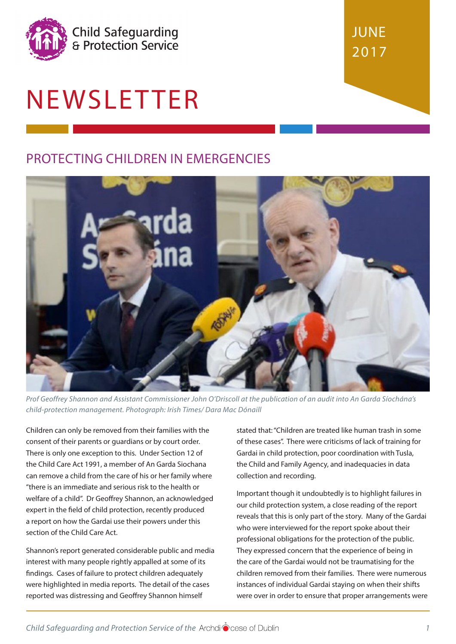

# NEWSLETTER

## PROTECTING CHILDREN IN EMERGENCIES



*Prof Geoffrey Shannon and Assistant Commissioner John O'Driscoll at the publication of an audit into An Garda Síochána's child-protection management. Photograph: Irish Times/ Dara Mac Dónaill*

Children can only be removed from their families with the consent of their parents or guardians or by court order. There is only one exception to this. Under Section 12 of the Child Care Act 1991, a member of An Garda Siochana can remove a child from the care of his or her family where "there is an immediate and serious risk to the health or welfare of a child". Dr Geoffrey Shannon, an acknowledged expert in the field of child protection, recently produced a report on how the Gardai use their powers under this section of the Child Care Act.

Shannon's report generated considerable public and media interest with many people rightly appalled at some of its findings. Cases of failure to protect children adequately were highlighted in media reports. The detail of the cases reported was distressing and Geoffrey Shannon himself

stated that: "Children are treated like human trash in some of these cases". There were criticisms of lack of training for Gardai in child protection, poor coordination with Tusla, the Child and Family Agency, and inadequacies in data collection and recording.

**JUNE** 

2017

Important though it undoubtedly is to highlight failures in our child protection system, a close reading of the report reveals that this is only part of the story. Many of the Gardai who were interviewed for the report spoke about their professional obligations for the protection of the public. They expressed concern that the experience of being in the care of the Gardai would not be traumatising for the children removed from their families. There were numerous instances of individual Gardai staying on when their shifts were over in order to ensure that proper arrangements were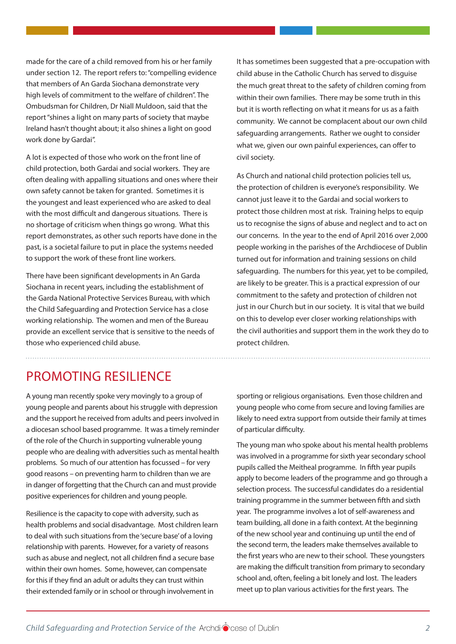made for the care of a child removed from his or her family under section 12. The report refers to: "compelling evidence that members of An Garda Siochana demonstrate very high levels of commitment to the welfare of children". The Ombudsman for Children, Dr Niall Muldoon, said that the report "shines a light on many parts of society that maybe Ireland hasn't thought about; it also shines a light on good work done by Gardai".

A lot is expected of those who work on the front line of child protection, both Gardai and social workers. They are often dealing with appalling situations and ones where their own safety cannot be taken for granted. Sometimes it is the youngest and least experienced who are asked to deal with the most difficult and dangerous situations. There is no shortage of criticism when things go wrong. What this report demonstrates, as other such reports have done in the past, is a societal failure to put in place the systems needed to support the work of these front line workers.

There have been significant developments in An Garda Siochana in recent years, including the establishment of the Garda National Protective Services Bureau, with which the Child Safeguarding and Protection Service has a close working relationship. The women and men of the Bureau provide an excellent service that is sensitive to the needs of those who experienced child abuse.

It has sometimes been suggested that a pre-occupation with child abuse in the Catholic Church has served to disguise the much great threat to the safety of children coming from within their own families. There may be some truth in this but it is worth reflecting on what it means for us as a faith community. We cannot be complacent about our own child safeguarding arrangements. Rather we ought to consider what we, given our own painful experiences, can offer to civil society.

As Church and national child protection policies tell us, the protection of children is everyone's responsibility. We cannot just leave it to the Gardai and social workers to protect those children most at risk. Training helps to equip us to recognise the signs of abuse and neglect and to act on our concerns. In the year to the end of April 2016 over 2,000 people working in the parishes of the Archdiocese of Dublin turned out for information and training sessions on child safeguarding. The numbers for this year, yet to be compiled, are likely to be greater. This is a practical expression of our commitment to the safety and protection of children not just in our Church but in our society. It is vital that we build on this to develop ever closer working relationships with the civil authorities and support them in the work they do to protect children.

### PROMOTING RESILIENCE

A young man recently spoke very movingly to a group of young people and parents about his struggle with depression and the support he received from adults and peers involved in a diocesan school based programme. It was a timely reminder of the role of the Church in supporting vulnerable young people who are dealing with adversities such as mental health problems. So much of our attention has focussed – for very good reasons – on preventing harm to children than we are in danger of forgetting that the Church can and must provide positive experiences for children and young people.

Resilience is the capacity to cope with adversity, such as health problems and social disadvantage. Most children learn to deal with such situations from the 'secure base' of a loving relationship with parents. However, for a variety of reasons such as abuse and neglect, not all children find a secure base within their own homes. Some, however, can compensate for this if they find an adult or adults they can trust within their extended family or in school or through involvement in

sporting or religious organisations. Even those children and young people who come from secure and loving families are likely to need extra support from outside their family at times of particular difficulty.

The young man who spoke about his mental health problems was involved in a programme for sixth year secondary school pupils called the Meitheal programme. In fifth year pupils apply to become leaders of the programme and go through a selection process. The successful candidates do a residential training programme in the summer between fifth and sixth year. The programme involves a lot of self-awareness and team building, all done in a faith context. At the beginning of the new school year and continuing up until the end of the second term, the leaders make themselves available to the first years who are new to their school. These youngsters are making the difficult transition from primary to secondary school and, often, feeling a bit lonely and lost. The leaders meet up to plan various activities for the first years. The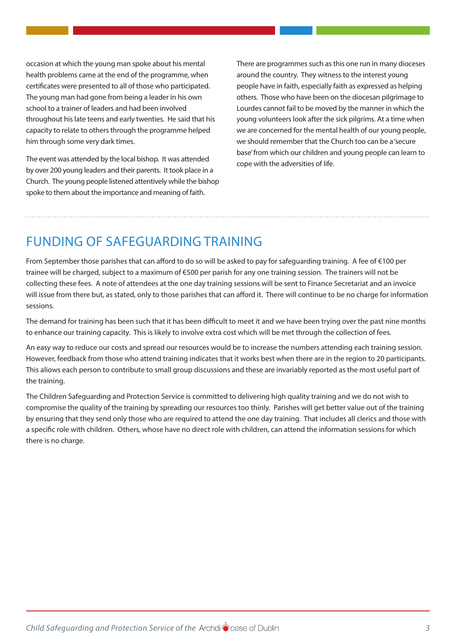occasion at which the young man spoke about his mental health problems came at the end of the programme, when certificates were presented to all of those who participated. The young man had gone from being a leader in his own school to a trainer of leaders and had been involved throughout his late teens and early twenties. He said that his capacity to relate to others through the programme helped him through some very dark times.

The event was attended by the local bishop. It was attended by over 200 young leaders and their parents. It took place in a Church. The young people listened attentively while the bishop spoke to them about the importance and meaning of faith.

There are programmes such as this one run in many dioceses around the country. They witness to the interest young people have in faith, especially faith as expressed as helping others. Those who have been on the diocesan pilgrimage to Lourdes cannot fail to be moved by the manner in which the young volunteers look after the sick pilgrims. At a time when we are concerned for the mental health of our young people, we should remember that the Church too can be a 'secure base' from which our children and young people can learn to cope with the adversities of life.

## FUNDING OF SAFEGUARDING TRAINING

From September those parishes that can afford to do so will be asked to pay for safeguarding training. A fee of €100 per trainee will be charged, subject to a maximum of €500 per parish for any one training session. The trainers will not be collecting these fees. A note of attendees at the one day training sessions will be sent to Finance Secretariat and an invoice will issue from there but, as stated, only to those parishes that can afford it. There will continue to be no charge for information sessions.

The demand for training has been such that it has been difficult to meet it and we have been trying over the past nine months to enhance our training capacity. This is likely to involve extra cost which will be met through the collection of fees.

An easy way to reduce our costs and spread our resources would be to increase the numbers attending each training session. However, feedback from those who attend training indicates that it works best when there are in the region to 20 participants. This aliows each person to contribute to small group discussions and these are invariably reported as the most useful part of the training.

The Children Safeguarding and Protection Service is committed to delivering high quality training and we do not wish to compromise the quality of the training by spreading our resources too thinly. Parishes will get better value out of the training by ensuring that they send only those who are required to attend the one day training. That includes all clerics and those with a specific role with children. Others, whose have no direct role with children, can attend the information sessions for which there is no charge.